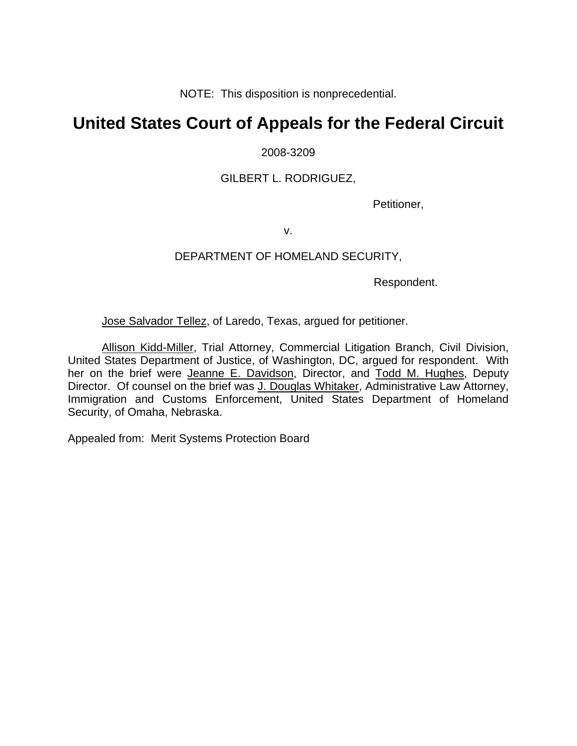NOTE: This disposition is nonprecedential.

# **United States Court of Appeals for the Federal Circuit**

### 2008-3209

### GILBERT L. RODRIGUEZ,

Petitioner,

v.

### DEPARTMENT OF HOMELAND SECURITY,

Respondent.

Jose Salvador Tellez, of Laredo, Texas, argued for petitioner.

Allison Kidd-Miller, Trial Attorney, Commercial Litigation Branch, Civil Division, United States Department of Justice, of Washington, DC, argued for respondent. With her on the brief were Jeanne E. Davidson, Director, and Todd M. Hughes, Deputy Director. Of counsel on the brief was J. Douglas Whitaker, Administrative Law Attorney, Immigration and Customs Enforcement, United States Department of Homeland Security, of Omaha, Nebraska.

Appealed from: Merit Systems Protection Board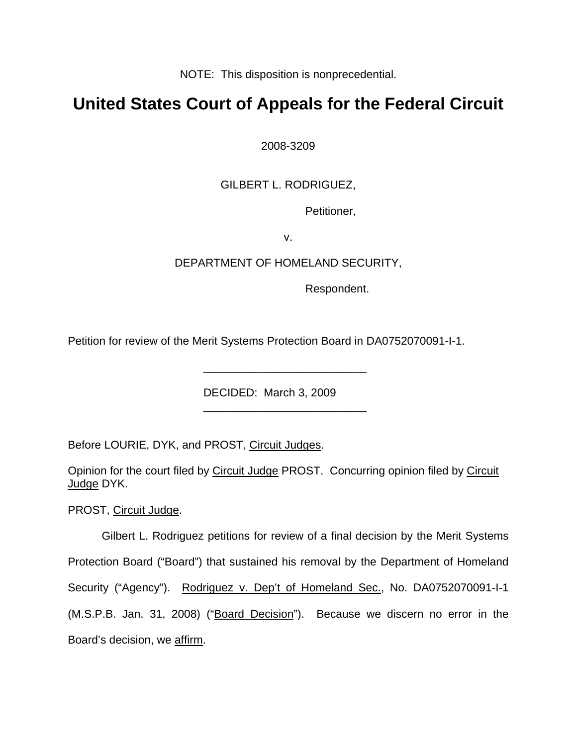NOTE: This disposition is nonprecedential.

# **United States Court of Appeals for the Federal Circuit**

2008-3209

# GILBERT L. RODRIGUEZ,

Petitioner,

v.

## DEPARTMENT OF HOMELAND SECURITY,

Respondent.

Petition for review of the Merit Systems Protection Board in DA0752070091-I-1.

DECIDED: March 3, 2009

\_\_\_\_\_\_\_\_\_\_\_\_\_\_\_\_\_\_\_\_\_\_\_\_\_\_

Before LOURIE, DYK, and PROST, Circuit Judges.

\_\_\_\_\_\_\_\_\_\_\_\_\_\_\_\_\_\_\_\_\_\_\_\_\_\_

Opinion for the court filed by Circuit Judge PROST. Concurring opinion filed by Circuit Judge DYK.

PROST, Circuit Judge.

Gilbert L. Rodriguez petitions for review of a final decision by the Merit Systems Protection Board ("Board") that sustained his removal by the Department of Homeland Security ("Agency"). Rodriguez v. Dep't of Homeland Sec., No. DA0752070091-I-1 (M.S.P.B. Jan. 31, 2008) ("Board Decision"). Because we discern no error in the Board's decision, we affirm.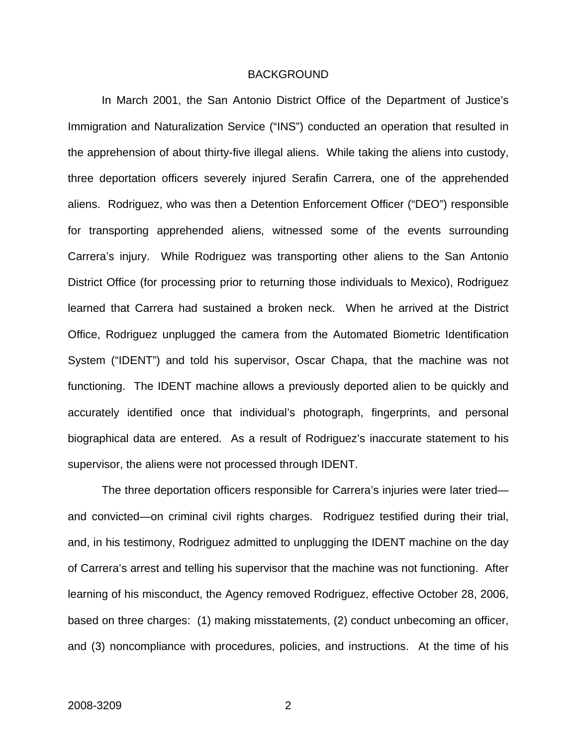#### BACKGROUND

In March 2001, the San Antonio District Office of the Department of Justice's Immigration and Naturalization Service ("INS") conducted an operation that resulted in the apprehension of about thirty-five illegal aliens. While taking the aliens into custody, three deportation officers severely injured Serafin Carrera, one of the apprehended aliens. Rodriguez, who was then a Detention Enforcement Officer ("DEO") responsible for transporting apprehended aliens, witnessed some of the events surrounding Carrera's injury. While Rodriguez was transporting other aliens to the San Antonio District Office (for processing prior to returning those individuals to Mexico), Rodriguez learned that Carrera had sustained a broken neck. When he arrived at the District Office, Rodriguez unplugged the camera from the Automated Biometric Identification System ("IDENT") and told his supervisor, Oscar Chapa, that the machine was not functioning. The IDENT machine allows a previously deported alien to be quickly and accurately identified once that individual's photograph, fingerprints, and personal biographical data are entered. As a result of Rodriguez's inaccurate statement to his supervisor, the aliens were not processed through IDENT.

The three deportation officers responsible for Carrera's injuries were later tried and convicted—on criminal civil rights charges. Rodriguez testified during their trial, and, in his testimony, Rodriguez admitted to unplugging the IDENT machine on the day of Carrera's arrest and telling his supervisor that the machine was not functioning. After learning of his misconduct, the Agency removed Rodriguez, effective October 28, 2006, based on three charges: (1) making misstatements, (2) conduct unbecoming an officer, and (3) noncompliance with procedures, policies, and instructions. At the time of his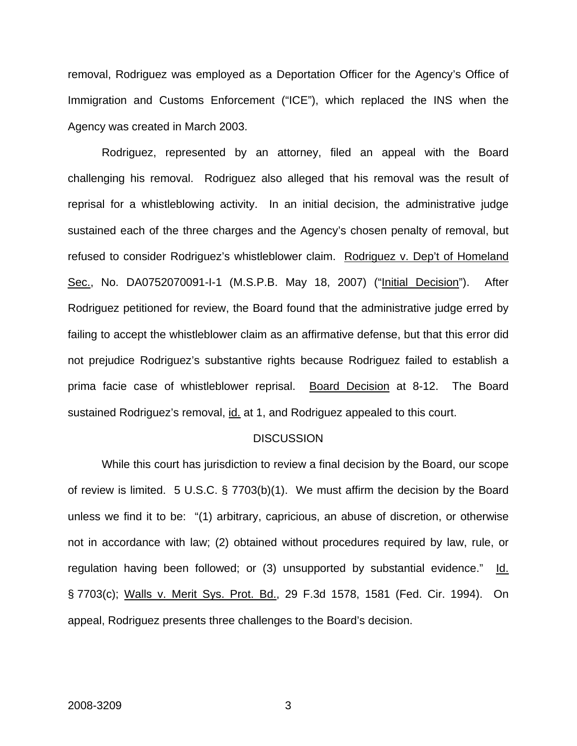removal, Rodriguez was employed as a Deportation Officer for the Agency's Office of Immigration and Customs Enforcement ("ICE"), which replaced the INS when the Agency was created in March 2003.

Rodriguez, represented by an attorney, filed an appeal with the Board challenging his removal. Rodriguez also alleged that his removal was the result of reprisal for a whistleblowing activity. In an initial decision, the administrative judge sustained each of the three charges and the Agency's chosen penalty of removal, but refused to consider Rodriguez's whistleblower claim. Rodriguez v. Dep't of Homeland Sec., No. DA0752070091-I-1 (M.S.P.B. May 18, 2007) ("Initial Decision"). After Rodriguez petitioned for review, the Board found that the administrative judge erred by failing to accept the whistleblower claim as an affirmative defense, but that this error did not prejudice Rodriguez's substantive rights because Rodriguez failed to establish a prima facie case of whistleblower reprisal. Board Decision at 8-12. The Board sustained Rodriguez's removal, id. at 1, and Rodriguez appealed to this court.

#### **DISCUSSION**

While this court has jurisdiction to review a final decision by the Board, our scope of review is limited. 5 U.S.C. § 7703(b)(1). We must affirm the decision by the Board unless we find it to be: "(1) arbitrary, capricious, an abuse of discretion, or otherwise not in accordance with law; (2) obtained without procedures required by law, rule, or regulation having been followed; or (3) unsupported by substantial evidence." Id. § 7703(c); Walls v. Merit Sys. Prot. Bd., 29 F.3d 1578, 1581 (Fed. Cir. 1994). On appeal, Rodriguez presents three challenges to the Board's decision.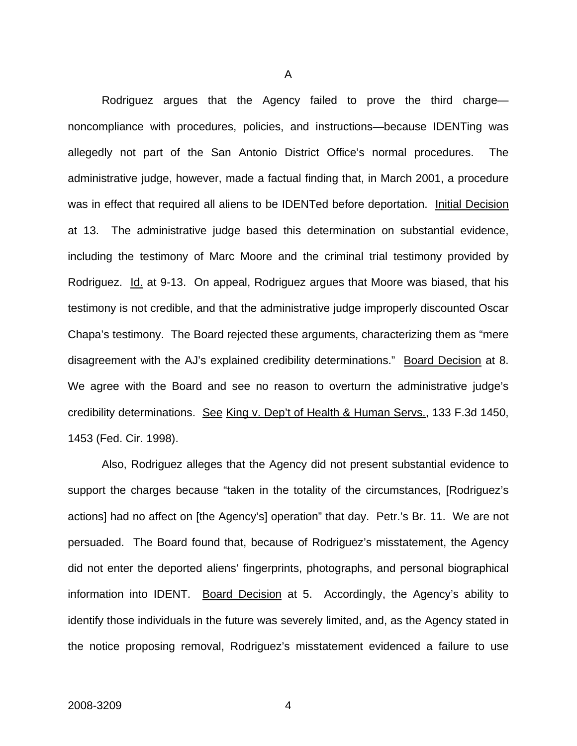Rodriguez argues that the Agency failed to prove the third charge noncompliance with procedures, policies, and instructions—because IDENTing was allegedly not part of the San Antonio District Office's normal procedures. The administrative judge, however, made a factual finding that, in March 2001, a procedure was in effect that required all aliens to be IDENTed before deportation. Initial Decision at 13. The administrative judge based this determination on substantial evidence, including the testimony of Marc Moore and the criminal trial testimony provided by Rodriguez. Id. at 9-13. On appeal, Rodriguez argues that Moore was biased, that his testimony is not credible, and that the administrative judge improperly discounted Oscar Chapa's testimony. The Board rejected these arguments, characterizing them as "mere disagreement with the AJ's explained credibility determinations." Board Decision at 8. We agree with the Board and see no reason to overturn the administrative judge's credibility determinations. See King v. Dep't of Health & Human Servs., 133 F.3d 1450, 1453 (Fed. Cir. 1998).

Also, Rodriguez alleges that the Agency did not present substantial evidence to support the charges because "taken in the totality of the circumstances, [Rodriguez's actions] had no affect on [the Agency's] operation" that day. Petr.'s Br. 11. We are not persuaded. The Board found that, because of Rodriguez's misstatement, the Agency did not enter the deported aliens' fingerprints, photographs, and personal biographical information into IDENT. Board Decision at 5. Accordingly, the Agency's ability to identify those individuals in the future was severely limited, and, as the Agency stated in the notice proposing removal, Rodriguez's misstatement evidenced a failure to use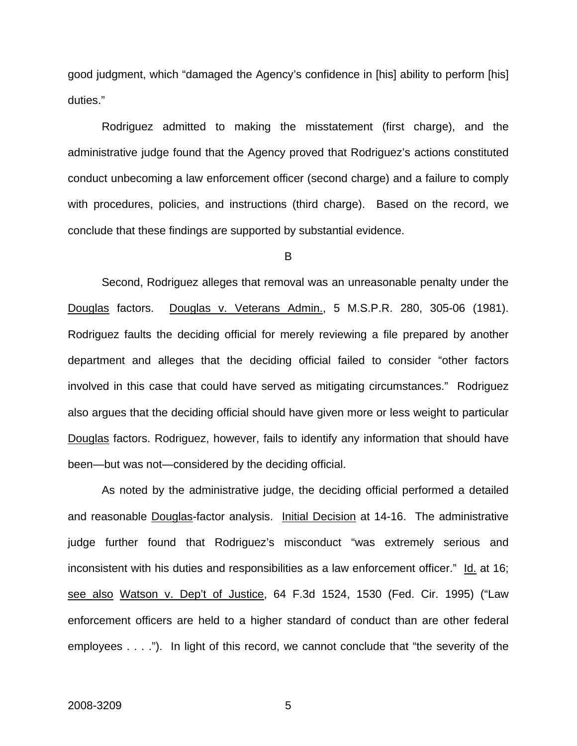good judgment, which "damaged the Agency's confidence in [his] ability to perform [his] duties."

Rodriguez admitted to making the misstatement (first charge), and the administrative judge found that the Agency proved that Rodriguez's actions constituted conduct unbecoming a law enforcement officer (second charge) and a failure to comply with procedures, policies, and instructions (third charge). Based on the record, we conclude that these findings are supported by substantial evidence.

B

Second, Rodriguez alleges that removal was an unreasonable penalty under the Douglas factors. Douglas v. Veterans Admin., 5 M.S.P.R. 280, 305-06 (1981). Rodriguez faults the deciding official for merely reviewing a file prepared by another department and alleges that the deciding official failed to consider "other factors involved in this case that could have served as mitigating circumstances." Rodriguez also argues that the deciding official should have given more or less weight to particular Douglas factors. Rodriguez, however, fails to identify any information that should have been—but was not—considered by the deciding official.

As noted by the administrative judge, the deciding official performed a detailed and reasonable Douglas-factor analysis. Initial Decision at 14-16. The administrative judge further found that Rodriguez's misconduct "was extremely serious and inconsistent with his duties and responsibilities as a law enforcement officer." Id. at 16; see also Watson v. Dep't of Justice, 64 F.3d 1524, 1530 (Fed. Cir. 1995) ("Law enforcement officers are held to a higher standard of conduct than are other federal employees . . . ."). In light of this record, we cannot conclude that "the severity of the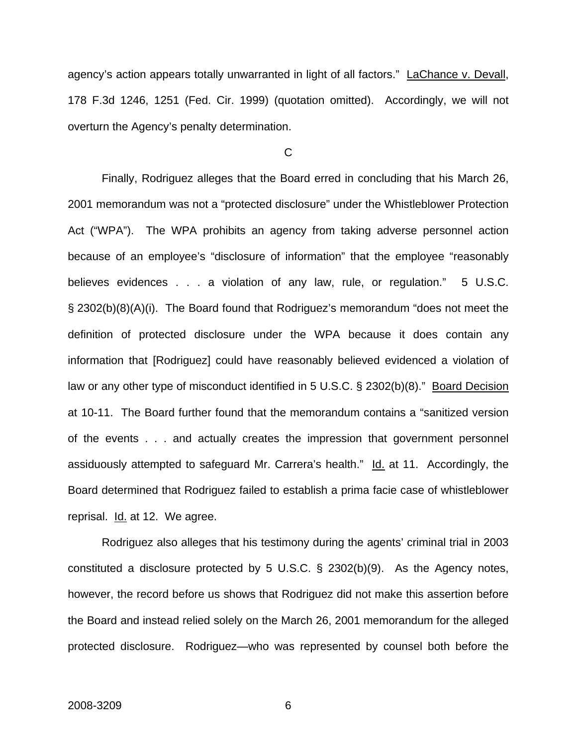agency's action appears totally unwarranted in light of all factors." LaChance v. Devall, 178 F.3d 1246, 1251 (Fed. Cir. 1999) (quotation omitted). Accordingly, we will not overturn the Agency's penalty determination.

#### $\mathcal{C}$

Finally, Rodriguez alleges that the Board erred in concluding that his March 26, 2001 memorandum was not a "protected disclosure" under the Whistleblower Protection Act ("WPA"). The WPA prohibits an agency from taking adverse personnel action because of an employee's "disclosure of information" that the employee "reasonably believes evidences . . . a violation of any law, rule, or regulation." 5 U.S.C. § 2302(b)(8)(A)(i). The Board found that Rodriguez's memorandum "does not meet the definition of protected disclosure under the WPA because it does contain any information that [Rodriguez] could have reasonably believed evidenced a violation of law or any other type of misconduct identified in 5 U.S.C. § 2302(b)(8)." Board Decision at 10-11. The Board further found that the memorandum contains a "sanitized version of the events . . . and actually creates the impression that government personnel assiduously attempted to safeguard Mr. Carrera's health." Id. at 11. Accordingly, the Board determined that Rodriguez failed to establish a prima facie case of whistleblower reprisal. Id. at 12. We agree.

Rodriguez also alleges that his testimony during the agents' criminal trial in 2003 constituted a disclosure protected by 5 U.S.C. § 2302(b)(9). As the Agency notes, however, the record before us shows that Rodriguez did not make this assertion before the Board and instead relied solely on the March 26, 2001 memorandum for the alleged protected disclosure. Rodriguez—who was represented by counsel both before the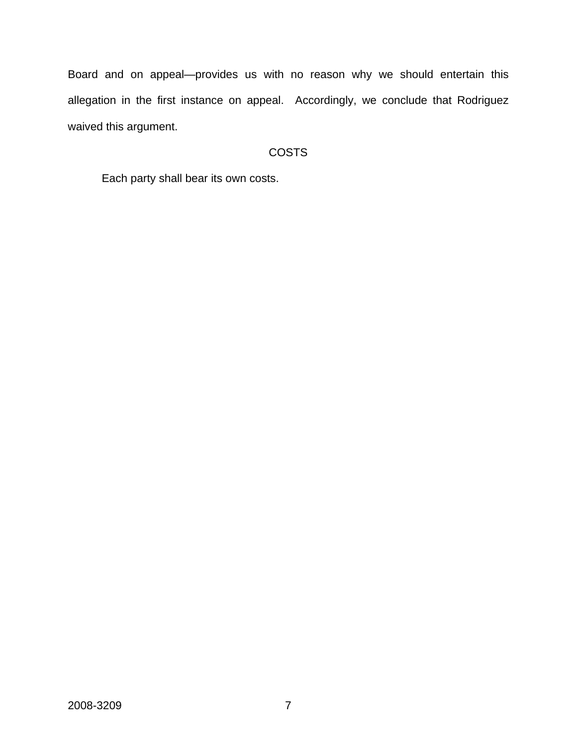Board and on appeal—provides us with no reason why we should entertain this allegation in the first instance on appeal. Accordingly, we conclude that Rodriguez waived this argument.

## **COSTS**

Each party shall bear its own costs.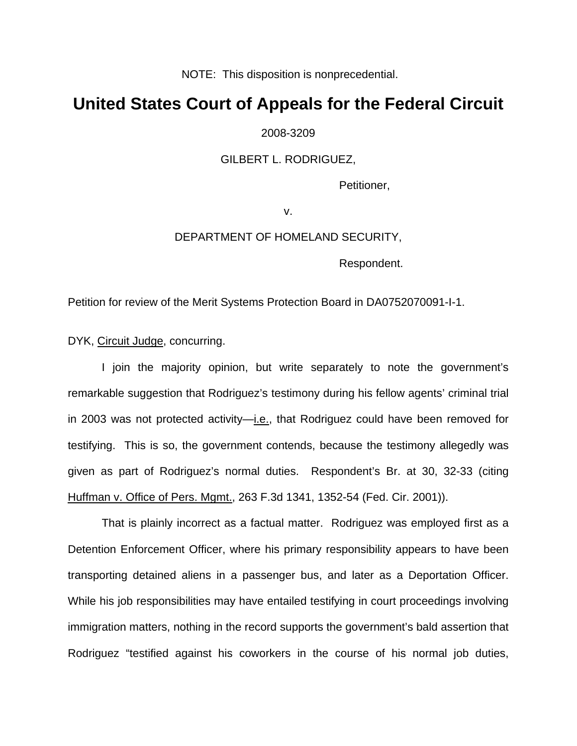NOTE: This disposition is nonprecedential.

# **United States Court of Appeals for the Federal Circuit**

2008-3209

#### GILBERT L. RODRIGUEZ,

Petitioner,

v.

#### DEPARTMENT OF HOMELAND SECURITY,

Respondent.

Petition for review of the Merit Systems Protection Board in DA0752070091-I-1.

DYK, Circuit Judge, concurring.

I join the majority opinion, but write separately to note the government's remarkable suggestion that Rodriguez's testimony during his fellow agents' criminal trial in 2003 was not protected activity—i.e., that Rodriguez could have been removed for testifying. This is so, the government contends, because the testimony allegedly was given as part of Rodriguez's normal duties. Respondent's Br. at 30, 32-33 (citing Huffman v. Office of Pers. Mgmt., 263 F.3d 1341, 1352-54 (Fed. Cir. 2001)).

That is plainly incorrect as a factual matter. Rodriguez was employed first as a Detention Enforcement Officer, where his primary responsibility appears to have been transporting detained aliens in a passenger bus, and later as a Deportation Officer. While his job responsibilities may have entailed testifying in court proceedings involving immigration matters, nothing in the record supports the government's bald assertion that Rodriguez "testified against his coworkers in the course of his normal job duties,